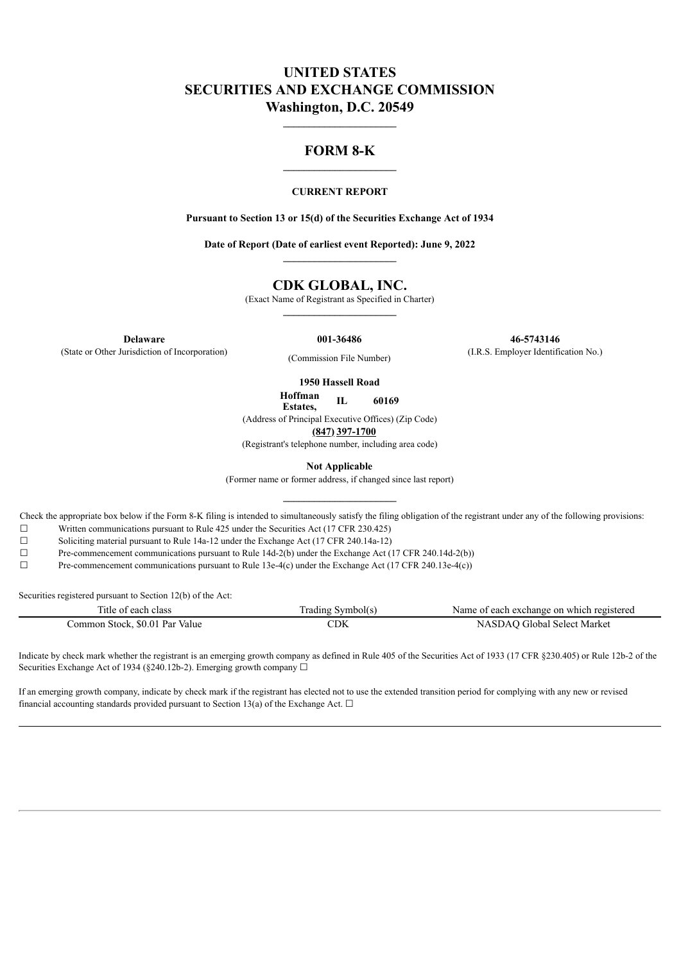# **UNITED STATES SECURITIES AND EXCHANGE COMMISSION Washington, D.C. 20549**

## **FORM 8-K**

**\_\_\_\_\_\_\_\_\_\_\_\_\_\_\_\_\_\_\_\_\_\_**

#### **CURRENT REPORT**

**Pursuant to Section 13 or 15(d) of the Securities Exchange Act of 1934**

**Date of Report (Date of earliest event Reported): June 9, 2022**

## **CDK GLOBAL, INC.**

(Exact Name of Registrant as Specified in Charter)

(State or Other Jurisdiction of Incorporation) (Commission File Number) (I.R.S. Employer Identification No.)

**Delaware 001-36486 46-5743146**

**1950 Hassell Road**

**Hoffman Estates, IL 60169**

(Address of Principal Executive Offices) (Zip Code)

**(847) 397-1700**

(Registrant's telephone number, including area code)

**Not Applicable**

(Former name or former address, if changed since last report)

Check the appropriate box below if the Form 8-K filing is intended to simultaneously satisfy the filing obligation of the registrant under any of the following provisions:

☐ Written communications pursuant to Rule 425 under the Securities Act (17 CFR 230.425)

☐ Soliciting material pursuant to Rule 14a-12 under the Exchange Act (17 CFR 240.14a-12)

☐ Pre-commencement communications pursuant to Rule 14d-2(b) under the Exchange Act (17 CFR 240.14d-2(b))

☐ Pre-commencement communications pursuant to Rule 13e-4(c) under the Exchange Act (17 CFR 240.13e-4(c))

Securities registered pursuant to Section 12(b) of the Act:

| l'itle of each class                       | rading<br>symbol(s) | f each exchange on which registered<br>Name of |
|--------------------------------------------|---------------------|------------------------------------------------|
| \$0.01<br>Par<br>Value<br>ommon:<br>Stock. | CDK                 | Market<br>Select <sup>*</sup><br>Gilobal<br>NΔ |

Indicate by check mark whether the registrant is an emerging growth company as defined in Rule 405 of the Securities Act of 1933 (17 CFR §230.405) or Rule 12b-2 of the Securities Exchange Act of 1934 (§240.12b-2). Emerging growth company  $\Box$ 

If an emerging growth company, indicate by check mark if the registrant has elected not to use the extended transition period for complying with any new or revised financial accounting standards provided pursuant to Section 13(a) of the Exchange Act.  $\Box$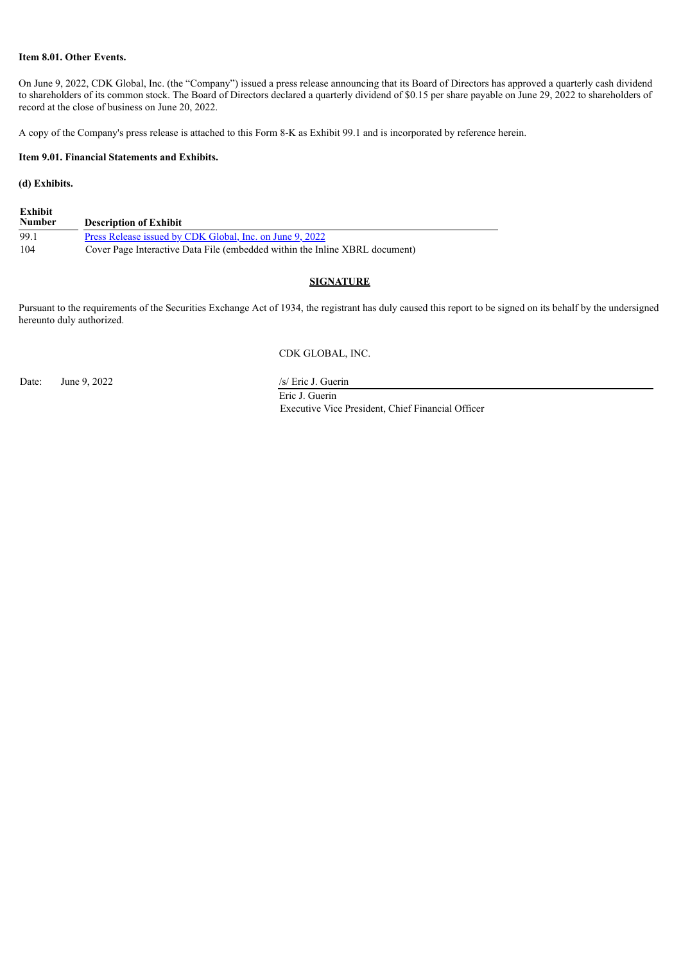### **Item 8.01. Other Events.**

On June 9, 2022, CDK Global, Inc. (the "Company") issued a press release announcing that its Board of Directors has approved a quarterly cash dividend to shareholders of its common stock. The Board of Directors declared a quarterly dividend of \$0.15 per share payable on June 29, 2022 to shareholders of record at the close of business on June 20, 2022.

A copy of the Company's press release is attached to this Form 8-K as Exhibit 99.1 and is incorporated by reference herein.

#### **Item 9.01. Financial Statements and Exhibits.**

### **(d) Exhibits.**

| Exhibit<br>Number | <b>Description of Exhibit</b>                                               |
|-------------------|-----------------------------------------------------------------------------|
| -99.1             | Press Release issued by CDK Global, Inc. on June 9, 2022                    |
| 104               | Cover Page Interactive Data File (embedded within the Inline XBRL document) |

### **SIGNATURE**

Pursuant to the requirements of the Securities Exchange Act of 1934, the registrant has duly caused this report to be signed on its behalf by the undersigned hereunto duly authorized.

#### CDK GLOBAL, INC.

Date: June 9, 2022 /s/ Eric J. Guerin

Eric J. Guerin Executive Vice President, Chief Financial Officer